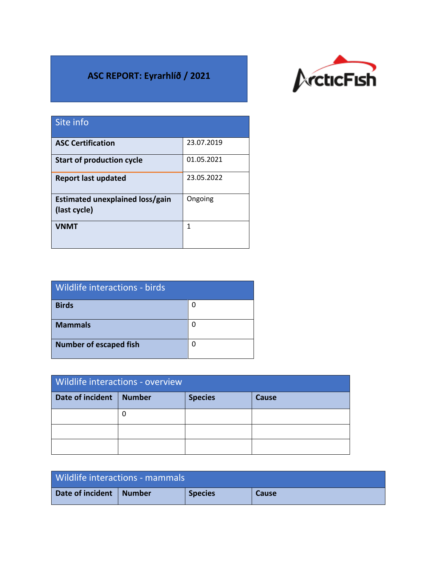## **ASC REPORT: Eyrarhlíð / 2021**



| Site info                                       |            |
|-------------------------------------------------|------------|
| <b>ASC Certification</b>                        | 23.07.2019 |
| <b>Start of production cycle</b>                | 01.05.2021 |
| <b>Report last updated</b>                      | 23.05.2022 |
| Estimated unexplained loss/gain<br>(last cycle) | Ongoing    |
| <b>VNMT</b>                                     | 1          |

| Wildlife interactions - birds |   |  |  |
|-------------------------------|---|--|--|
| <b>Birds</b>                  | 0 |  |  |
| <b>Mammals</b>                | O |  |  |
| <b>Number of escaped fish</b> | n |  |  |

| Wildlife interactions - overview |               |                |       |  |
|----------------------------------|---------------|----------------|-------|--|
| Date of incident                 | <b>Number</b> | <b>Species</b> | Cause |  |
|                                  |               |                |       |  |
|                                  |               |                |       |  |
|                                  |               |                |       |  |

| Wildlife interactions - mammals |        |                |              |
|---------------------------------|--------|----------------|--------------|
| Date of incident                | Number | <b>Species</b> | <b>Cause</b> |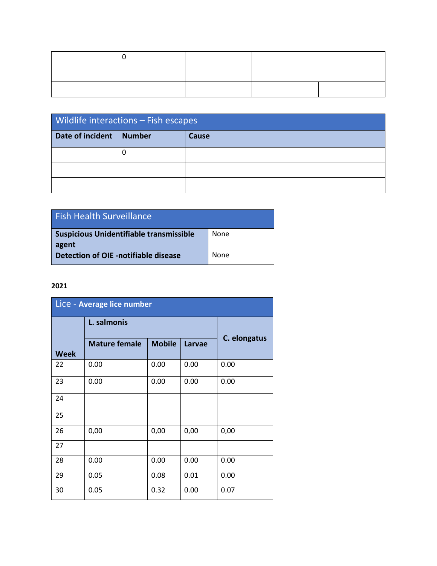| <b>Wildlife interactions - Fish escapes</b> |               |       |  |
|---------------------------------------------|---------------|-------|--|
| Date of incident                            | <b>Number</b> | Cause |  |
|                                             |               |       |  |
|                                             |               |       |  |
|                                             |               |       |  |

| <b>Fish Health Surveillance</b>                         |      |
|---------------------------------------------------------|------|
| <b>Suspicious Unidentifiable transmissible</b><br>agent | None |
| Detection of OIE -notifiable disease                    | None |

## **2021**

| Lice - Average lice number |                      |               |        |              |
|----------------------------|----------------------|---------------|--------|--------------|
|                            | L. salmonis          |               |        |              |
| <b>Week</b>                | <b>Mature female</b> | <b>Mobile</b> | Larvae | C. elongatus |
| 22                         | 0.00                 | 0.00          | 0.00   | 0.00         |
| 23                         | 0.00                 | 0.00          | 0.00   | 0.00         |
| 24                         |                      |               |        |              |
| 25                         |                      |               |        |              |
| 26                         | 0,00                 | 0,00          | 0,00   | 0,00         |
| 27                         |                      |               |        |              |
| 28                         | 0.00                 | 0.00          | 0.00   | 0.00         |
| 29                         | 0.05                 | 0.08          | 0.01   | 0.00         |
| 30                         | 0.05                 | 0.32          | 0.00   | 0.07         |